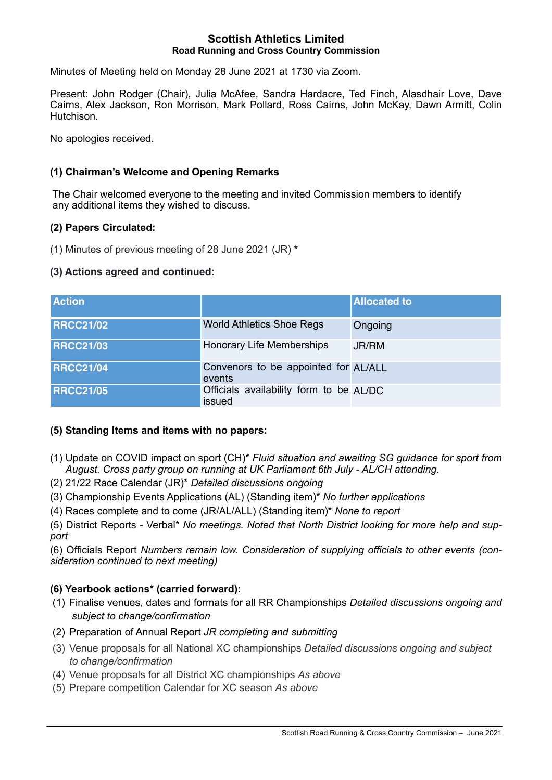#### **Scottish Athletics Limited Road Running and Cross Country Commission**

Minutes of Meeting held on Monday 28 June 2021 at 1730 via Zoom.

Present: John Rodger (Chair), Julia McAfee, Sandra Hardacre, Ted Finch, Alasdhair Love, Dave Cairns, Alex Jackson, Ron Morrison, Mark Pollard, Ross Cairns, John McKay, Dawn Armitt, Colin Hutchison.

No apologies received.

## **(1) Chairman's Welcome and Opening Remarks**

The Chair welcomed everyone to the meeting and invited Commission members to identify any additional items they wished to discuss.

### **(2) Papers Circulated:**

(1) Minutes of previous meeting of 28 June 2021 (JR) **\***

### **(3) Actions agreed and continued:**

| <b>Action</b>    |                                                   | <b>Allocated to</b> |
|------------------|---------------------------------------------------|---------------------|
| <b>RRCC21/02</b> | <b>World Athletics Shoe Regs</b>                  | Ongoing             |
| <b>RRCC21/03</b> | Honorary Life Memberships                         | JR/RM               |
| <b>RRCC21/04</b> | Convenors to be appointed for AL/ALL<br>events    |                     |
| <b>RRCC21/05</b> | Officials availability form to be AL/DC<br>issued |                     |

### **(5) Standing Items and items with no papers:**

- (1) Update on COVID impact on sport (CH)\* *Fluid situation and awaiting SG guidance for sport from August. Cross party group on running at UK Parliament 6th July - AL/CH attending.*
- (2) 21/22 Race Calendar (JR)\* *Detailed discussions ongoing*
- (3) Championship Events Applications (AL) (Standing item)\* *No further applications*
- (4) Races complete and to come (JR/AL/ALL) (Standing item)\* *None to report*

(5) District Reports - Verbal\* *No meetings. Noted that North District looking for more help and support* 

(6) Officials Report *Numbers remain low. Consideration of supplying officials to other events (consideration continued to next meeting)*

# **(6) Yearbook actions\* (carried forward):**

- (1) Finalise venues, dates and formats for all RR Championships *Detailed discussions ongoing and subject to change/confirmation*
- (2) Preparation of Annual Report *JR completing and submitting*
- (3) Venue proposals for all National XC championships *Detailed discussions ongoing and subject to change/confirmation*
- (4) Venue proposals for all District XC championships *As above*
- (5) Prepare competition Calendar for XC season *As above*